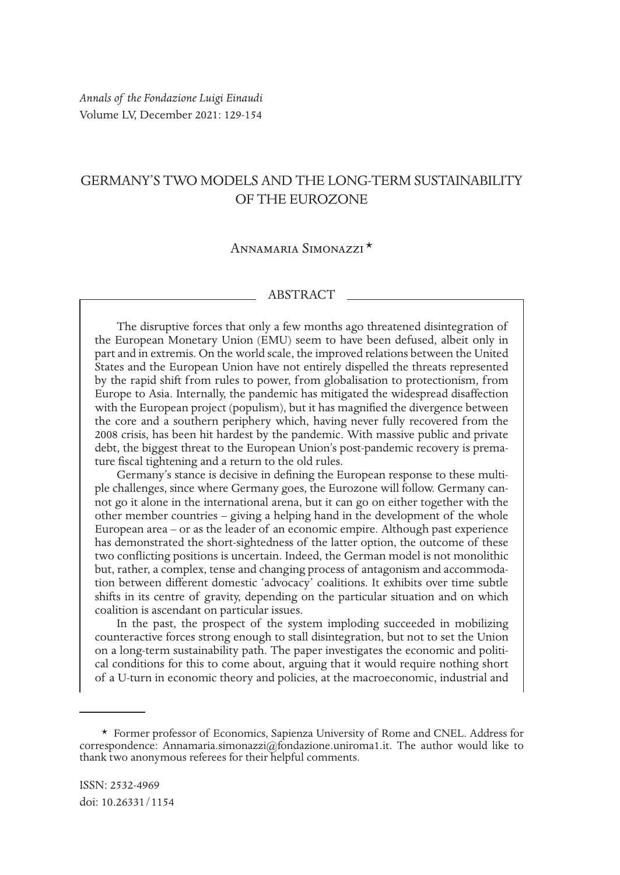*Annals of the Fondazione Luigi Einaudi* Volume LV, December 2021: 129-154

# GERMANY'S TWO MODELS AND THE LONG-TERM SUSTAINABILITY OF THE EUROZONE

# Annamaria Simonazzi \*1

#### ABSTRACT

The disruptive forces that only a few months ago threatened disintegration of the European Monetary Union (EMU) seem to have been defused, albeit only in part and in extremis. On the world scale, the improved relations between the United States and the European Union have not entirely dispelled the threats represented by the rapid shift from rules to power, from globalisation to protectionism, from Europe to Asia. Internally, the pandemic has mitigated the widespread disaffection with the European project (populism), but it has magnified the divergence between the core and a southern periphery which, having never fully recovered from the 2008 crisis, has been hit hardest by the pandemic. With massive public and private debt, the biggest threat to the European Union's post-pandemic recovery is premature fiscal tightening and a return to the old rules.

Germany's stance is decisive in defining the European response to these multiple challenges, since where Germany goes, the Eurozone will follow. Germany cannot go it alone in the international arena, but it can go on either together with the other member countries – giving a helping hand in the development of the whole European area – or as the leader of an economic empire. Although past experience has demonstrated the short-sightedness of the latter option, the outcome of these two conflicting positions is uncertain. Indeed, the German model is not monolithic but, rather, a complex, tense and changing process of antagonism and accommodation between different domestic 'advocacy' coalitions. It exhibits over time subtle shifts in its centre of gravity, depending on the particular situation and on which coalition is ascendant on particular issues.

In the past, the prospect of the system imploding succeeded in mobilizing counteractive forces strong enough to stall disintegration, but not to set the Union on a long-term sustainability path. The paper investigates the economic and political conditions for this to come about, arguing that it would require nothing short of a U-turn in economic theory and policies, at the macroeconomic, industrial and

<sup>\*</sup> Former professor of Economics, Sapienza University of Rome and CNEL. Address for correspondence: Annamaria.simonazzi@fondazione.uniroma1.it. The author would like to thank two anonymous referees for their helpful comments.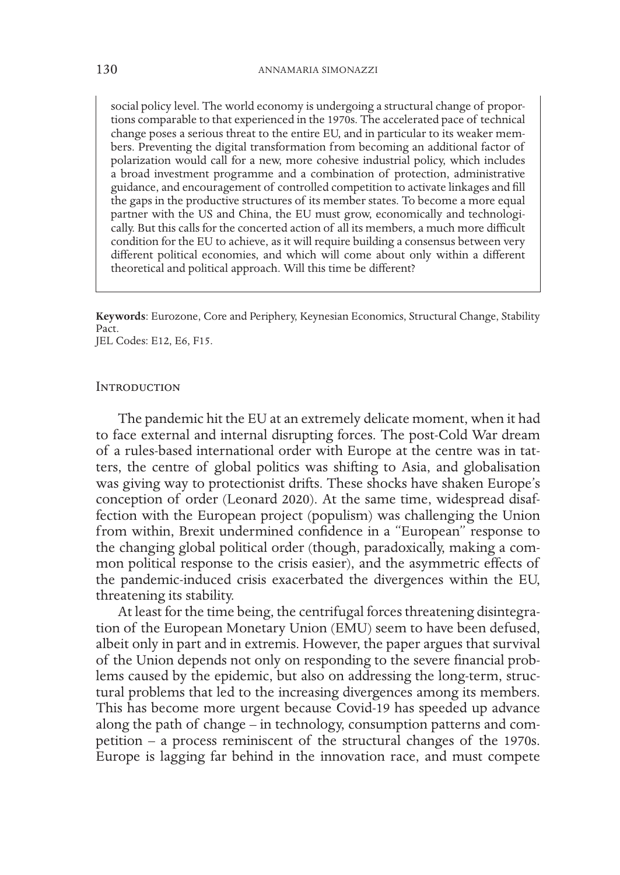social policy level. The world economy is undergoing a structural change of proportions comparable to that experienced in the 1970s. The accelerated pace of technical change poses a serious threat to the entire EU, and in particular to its weaker members. Preventing the digital transformation from becoming an additional factor of polarization would call for a new, more cohesive industrial policy, which includes a broad investment programme and a combination of protection, administrative guidance, and encouragement of controlled competition to activate linkages and fill the gaps in the productive structures of its member states. To become a more equal partner with the US and China, the EU must grow, economically and technologically. But this calls for the concerted action of all its members, a much more difficult condition for the EU to achieve, as it will require building a consensus between very different political economies, and which will come about only within a different theoretical and political approach. Will this time be different?

**Keywords**: Eurozone, Core and Periphery, Keynesian Economics, Structural Change, Stability Pact.

JEL Codes: E12, E6, F15.

#### **INTRODUCTION**

The pandemic hit the EU at an extremely delicate moment, when it had to face external and internal disrupting forces. The post-Cold War dream of a rules-based international order with Europe at the centre was in tatters, the centre of global politics was shifting to Asia, and globalisation was giving way to protectionist drifts. These shocks have shaken Europe's conception of order (Leonard 2020). At the same time, widespread disaffection with the European project (populism) was challenging the Union from within, Brexit undermined confidence in a "European" response to the changing global political order (though, paradoxically, making a common political response to the crisis easier), and the asymmetric effects of the pandemic-induced crisis exacerbated the divergences within the EU, threatening its stability.

At least for the time being, the centrifugal forces threatening disintegration of the European Monetary Union (EMU) seem to have been defused, albeit only in part and in extremis. However, the paper argues that survival of the Union depends not only on responding to the severe financial problems caused by the epidemic, but also on addressing the long-term, structural problems that led to the increasing divergences among its members. This has become more urgent because Covid-19 has speeded up advance along the path of change – in technology, consumption patterns and competition – a process reminiscent of the structural changes of the 1970s. Europe is lagging far behind in the innovation race, and must compete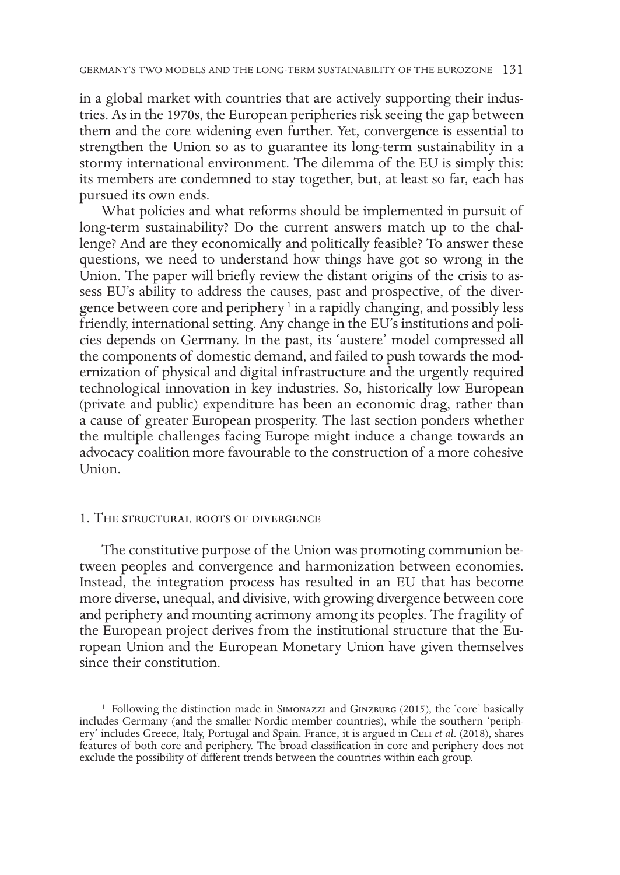in a global market with countries that are actively supporting their industries. As in the 1970s, the European peripheries risk seeing the gap between them and the core widening even further. Yet, convergence is essential to strengthen the Union so as to guarantee its long-term sustainability in a stormy international environment. The dilemma of the EU is simply this: its members are condemned to stay together, but, at least so far, each has pursued its own ends.

What policies and what reforms should be implemented in pursuit of long-term sustainability? Do the current answers match up to the challenge? And are they economically and politically feasible? To answer these questions, we need to understand how things have got so wrong in the Union. The paper will briefly review the distant origins of the crisis to assess EU's ability to address the causes, past and prospective, of the divergence between core and periphery<sup>1</sup> in a rapidly changing, and possibly less friendly, international setting. Any change in the EU's institutions and policies depends on Germany. In the past, its 'austere' model compressed all the components of domestic demand, and failed to push towards the modernization of physical and digital infrastructure and the urgently required technological innovation in key industries. So, historically low European (private and public) expenditure has been an economic drag, rather than a cause of greater European prosperity. The last section ponders whether the multiple challenges facing Europe might induce a change towards an advocacy coalition more favourable to the construction of a more cohesive Union.

### 1. The structural roots of divergence

The constitutive purpose of the Union was promoting communion between peoples and convergence and harmonization between economies. Instead, the integration process has resulted in an EU that has become more diverse, unequal, and divisive, with growing divergence between core and periphery and mounting acrimony among its peoples. The fragility of the European project derives from the institutional structure that the European Union and the European Monetary Union have given themselves since their constitution.

 $1$  Following the distinction made in SIMONAZZI and GINZBURG (2015), the 'core' basically includes Germany (and the smaller Nordic member countries), while the southern 'periphery' includes Greece, Italy, Portugal and Spain. France, it is argued in CELI et al. (2018), shares features of both core and periphery. The broad classification in core and periphery does not exclude the possibility of different trends between the countries within each group.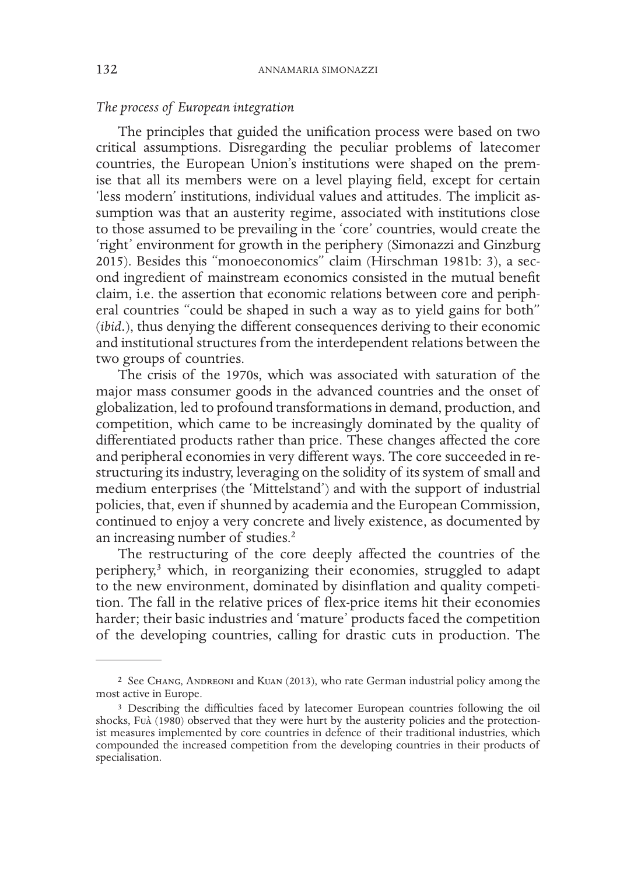# *The process of European integration*

The principles that guided the unification process were based on two critical assumptions. Disregarding the peculiar problems of latecomer countries, the European Union's institutions were shaped on the premise that all its members were on a level playing field, except for certain 'less modern' institutions, individual values and attitudes. The implicit assumption was that an austerity regime, associated with institutions close to those assumed to be prevailing in the 'core' countries, would create the 'right' environment for growth in the periphery (Simonazzi and Ginzburg 2015). Besides this "monoeconomics" claim (Hirschman 1981b: 3), a second ingredient of mainstream economics consisted in the mutual benefit claim, i.e. the assertion that economic relations between core and peripheral countries "could be shaped in such a way as to yield gains for both" (*ibid.*), thus denying the different consequences deriving to their economic and institutional structures from the interdependent relations between the two groups of countries.

The crisis of the 1970s, which was associated with saturation of the major mass consumer goods in the advanced countries and the onset of globalization, led to profound transformations in demand, production, and competition, which came to be increasingly dominated by the quality of differentiated products rather than price. These changes affected the core and peripheral economies in very different ways. The core succeeded in restructuring its industry, leveraging on the solidity of its system of small and medium enterprises (the 'Mittelstand') and with the support of industrial policies, that, even if shunned by academia and the European Commission, continued to enjoy a very concrete and lively existence, as documented by an increasing number of studies.<sup>2</sup>

The restructuring of the core deeply affected the countries of the periphery,<sup>3</sup> which, in reorganizing their economies, struggled to adapt to the new environment, dominated by disinflation and quality competition. The fall in the relative prices of flex-price items hit their economies harder; their basic industries and 'mature' products faced the competition of the developing countries, calling for drastic cuts in production. The

<sup>2</sup> See Chang, Andreoni and Kuan (2013), who rate German industrial policy among the most active in Europe.

<sup>3</sup> Describing the difficulties faced by latecomer European countries following the oil shocks, Fuà (1980) observed that they were hurt by the austerity policies and the protectionist measures implemented by core countries in defence of their traditional industries, which compounded the increased competition from the developing countries in their products of specialisation.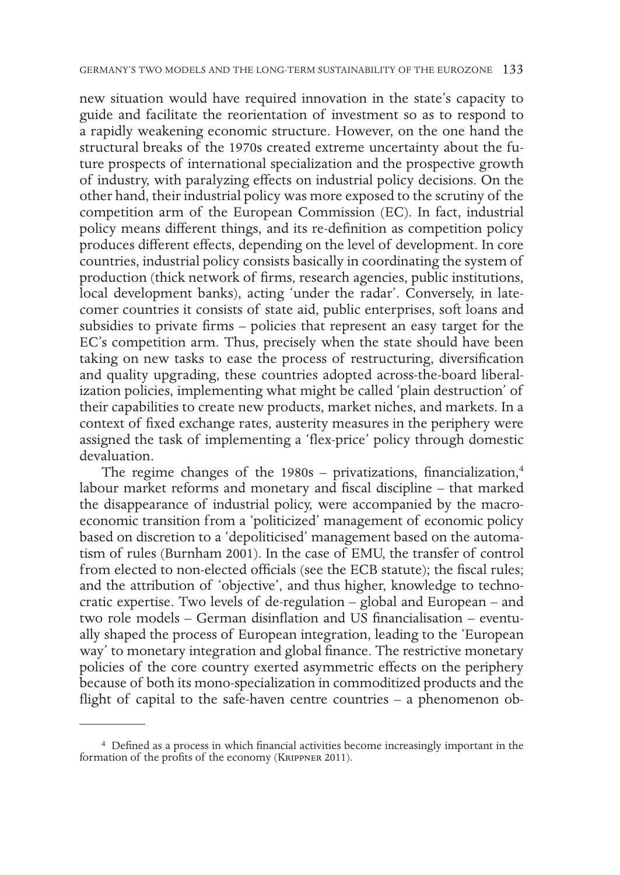new situation would have required innovation in the state's capacity to guide and facilitate the reorientation of investment so as to respond to a rapidly weakening economic structure. However, on the one hand the structural breaks of the 1970s created extreme uncertainty about the future prospects of international specialization and the prospective growth of industry, with paralyzing effects on industrial policy decisions. On the other hand, their industrial policy was more exposed to the scrutiny of the competition arm of the European Commission (EC). In fact, industrial policy means different things, and its re-definition as competition policy produces different effects, depending on the level of development. In core countries, industrial policy consists basically in coordinating the system of production (thick network of firms, research agencies, public institutions, local development banks), acting 'under the radar'. Conversely, in latecomer countries it consists of state aid, public enterprises, soft loans and subsidies to private firms – policies that represent an easy target for the EC's competition arm. Thus, precisely when the state should have been taking on new tasks to ease the process of restructuring, diversification and quality upgrading, these countries adopted across-the-board liberalization policies, implementing what might be called 'plain destruction' of their capabilities to create new products, market niches, and markets. In a context of fixed exchange rates, austerity measures in the periphery were assigned the task of implementing a 'flex-price' policy through domestic devaluation.

The regime changes of the  $1980s$  – privatizations, financialization,<sup>4</sup> labour market reforms and monetary and fiscal discipline – that marked the disappearance of industrial policy, were accompanied by the macroeconomic transition from a 'politicized' management of economic policy based on discretion to a 'depoliticised' management based on the automatism of rules (Burnham 2001). In the case of EMU, the transfer of control from elected to non-elected officials (see the ECB statute); the fiscal rules; and the attribution of 'objective', and thus higher, knowledge to technocratic expertise. Two levels of de-regulation – global and European – and two role models – German disinflation and US financialisation – eventually shaped the process of European integration, leading to the 'European way' to monetary integration and global finance. The restrictive monetary policies of the core country exerted asymmetric effects on the periphery because of both its mono-specialization in commoditized products and the flight of capital to the safe-haven centre countries - a phenomenon ob-

<sup>4</sup> Defined as a process in which financial activities become increasingly important in the formation of the profits of the economy (Krippner 2011).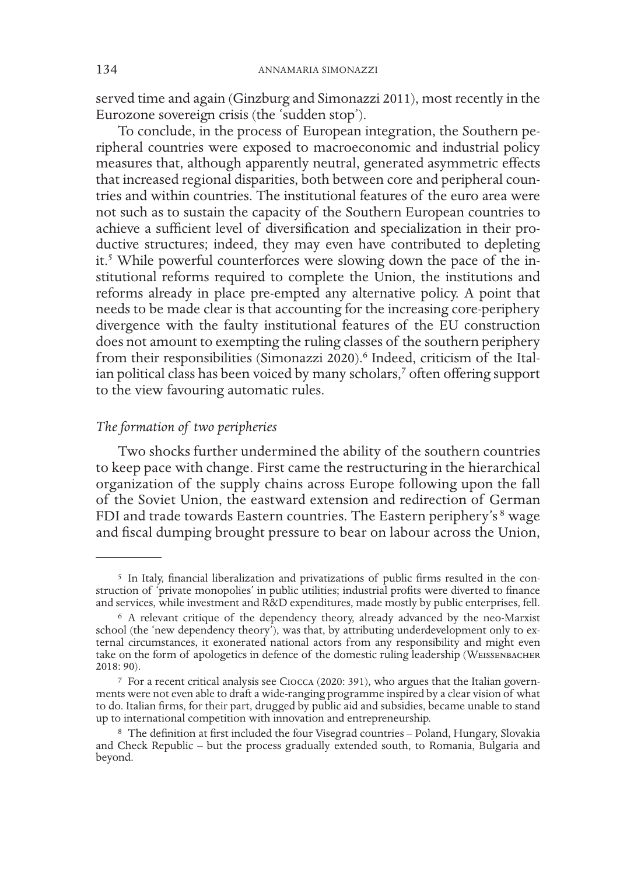served time and again (Ginzburg and Simonazzi 2011), most recently in the Eurozone sovereign crisis (the 'sudden stop').

To conclude, in the process of European integration, the Southern peripheral countries were exposed to macroeconomic and industrial policy measures that, although apparently neutral, generated asymmetric effects that increased regional disparities, both between core and peripheral countries and within countries. The institutional features of the euro area were not such as to sustain the capacity of the Southern European countries to achieve a sufficient level of diversification and specialization in their productive structures; indeed, they may even have contributed to depleting it.5 While powerful counterforces were slowing down the pace of the institutional reforms required to complete the Union, the institutions and reforms already in place pre-empted any alternative policy. A point that needs to be made clear is that accounting for the increasing core-periphery divergence with the faulty institutional features of the EU construction does not amount to exempting the ruling classes of the southern periphery from their responsibilities (Simonazzi 2020).<sup>6</sup> Indeed, criticism of the Italian political class has been voiced by many scholars,<sup>7</sup> often offering support to the view favouring automatic rules.

# *The formation of two peripheries*

Two shocks further undermined the ability of the southern countries to keep pace with change. First came the restructuring in the hierarchical organization of the supply chains across Europe following upon the fall of the Soviet Union, the eastward extension and redirection of German FDI and trade towards Eastern countries. The Eastern periphery's <sup>8</sup> wage and fiscal dumping brought pressure to bear on labour across the Union,

<sup>5</sup> In Italy, financial liberalization and privatizations of public firms resulted in the construction of 'private monopolies' in public utilities; industrial profits were diverted to finance and services, while investment and R&D expenditures, made mostly by public enterprises, fell.

<sup>6</sup> A relevant critique of the dependency theory, already advanced by the neo-Marxist school (the 'new dependency theory'), was that, by attributing underdevelopment only to external circumstances, it exonerated national actors from any responsibility and might even take on the form of apologetics in defence of the domestic ruling leadership (Weissenbacher 2018: 90).

<sup>7</sup> For a recent critical analysis see Ciocca (2020: 391), who argues that the Italian governments were not even able to draft a wide-ranging programme inspired by a clear vision of what to do. Italian firms, for their part, drugged by public aid and subsidies, became unable to stand up to international competition with innovation and entrepreneurship.

<sup>8</sup> The definition at first included the four Visegrad countries – Poland, Hungary, Slovakia and Check Republic – but the process gradually extended south, to Romania, Bulgaria and beyond.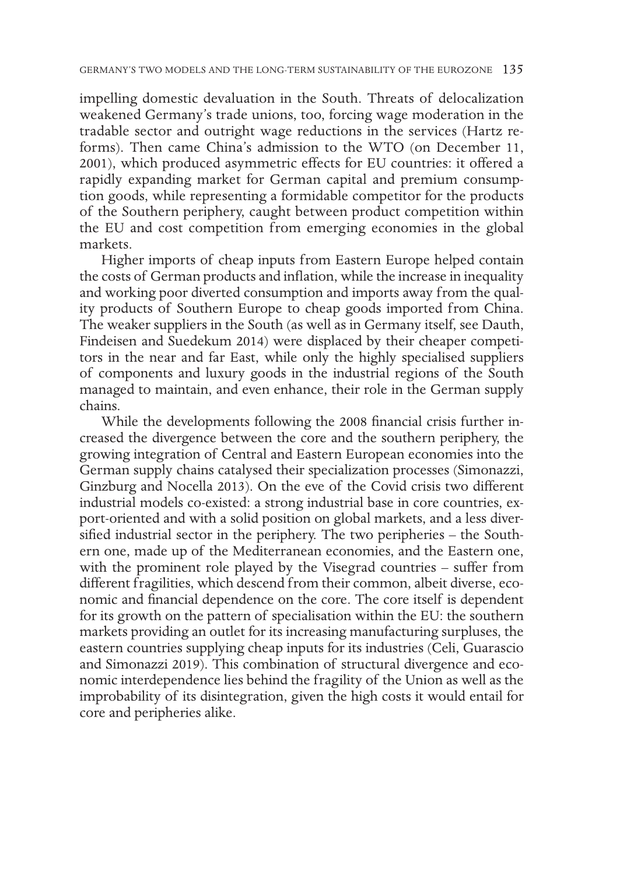impelling domestic devaluation in the South. Threats of delocalization weakened Germany's trade unions, too, forcing wage moderation in the tradable sector and outright wage reductions in the services (Hartz reforms). Then came China's admission to the WTO (on December 11, 2001), which produced asymmetric effects for EU countries: it offered a rapidly expanding market for German capital and premium consumption goods, while representing a formidable competitor for the products of the Southern periphery, caught between product competition within the EU and cost competition from emerging economies in the global markets.

Higher imports of cheap inputs from Eastern Europe helped contain the costs of German products and inflation, while the increase in inequality and working poor diverted consumption and imports away from the quality products of Southern Europe to cheap goods imported from China. The weaker suppliers in the South (as well as in Germany itself, see Dauth, Findeisen and Suedekum 2014) were displaced by their cheaper competitors in the near and far East, while only the highly specialised suppliers of components and luxury goods in the industrial regions of the South managed to maintain, and even enhance, their role in the German supply chains.

While the developments following the 2008 financial crisis further increased the divergence between the core and the southern periphery, the growing integration of Central and Eastern European economies into the German supply chains catalysed their specialization processes (Simonazzi, Ginzburg and Nocella 2013). On the eve of the Covid crisis two different industrial models co-existed: a strong industrial base in core countries, export-oriented and with a solid position on global markets, and a less diversified industrial sector in the periphery. The two peripheries – the Southern one, made up of the Mediterranean economies, and the Eastern one, with the prominent role played by the Visegrad countries – suffer from different fragilities, which descend from their common, albeit diverse, economic and financial dependence on the core. The core itself is dependent for its growth on the pattern of specialisation within the EU: the southern markets providing an outlet for its increasing manufacturing surpluses, the eastern countries supplying cheap inputs for its industries (Celi, Guarascio and Simonazzi 2019). This combination of structural divergence and economic interdependence lies behind the fragility of the Union as well as the improbability of its disintegration, given the high costs it would entail for core and peripheries alike.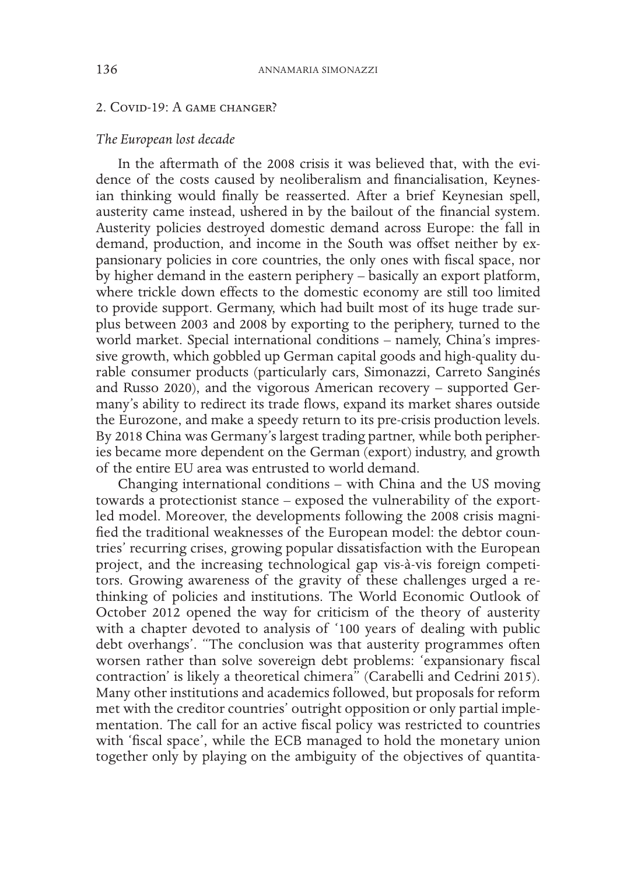# 2. Covid-19: A game changer?

#### *The European lost decade*

In the aftermath of the 2008 crisis it was believed that, with the evidence of the costs caused by neoliberalism and financialisation, Keynesian thinking would finally be reasserted. After a brief Keynesian spell, austerity came instead, ushered in by the bailout of the financial system. Austerity policies destroyed domestic demand across Europe: the fall in demand, production, and income in the South was offset neither by expansionary policies in core countries, the only ones with fiscal space, nor by higher demand in the eastern periphery – basically an export platform, where trickle down effects to the domestic economy are still too limited to provide support. Germany, which had built most of its huge trade surplus between 2003 and 2008 by exporting to the periphery, turned to the world market. Special international conditions – namely, China's impressive growth, which gobbled up German capital goods and high-quality durable consumer products (particularly cars, Simonazzi, Carreto Sanginés and Russo 2020), and the vigorous American recovery – supported Germany's ability to redirect its trade flows, expand its market shares outside the Eurozone, and make a speedy return to its pre-crisis production levels. By 2018 China was Germany's largest trading partner, while both peripheries became more dependent on the German (export) industry, and growth of the entire EU area was entrusted to world demand.

Changing international conditions – with China and the US moving towards a protectionist stance – exposed the vulnerability of the exportled model. Moreover, the developments following the 2008 crisis magnified the traditional weaknesses of the European model: the debtor countries' recurring crises, growing popular dissatisfaction with the European project, and the increasing technological gap vis-à-vis foreign competitors. Growing awareness of the gravity of these challenges urged a rethinking of policies and institutions. The World Economic Outlook of October 2012 opened the way for criticism of the theory of austerity with a chapter devoted to analysis of '100 years of dealing with public debt overhangs'. "The conclusion was that austerity programmes often worsen rather than solve sovereign debt problems: 'expansionary fiscal contraction' is likely a theoretical chimera" (Carabelli and Cedrini 2015). Many other institutions and academics followed, but proposals for reform met with the creditor countries' outright opposition or only partial implementation. The call for an active fiscal policy was restricted to countries with 'fiscal space', while the ECB managed to hold the monetary union together only by playing on the ambiguity of the objectives of quantita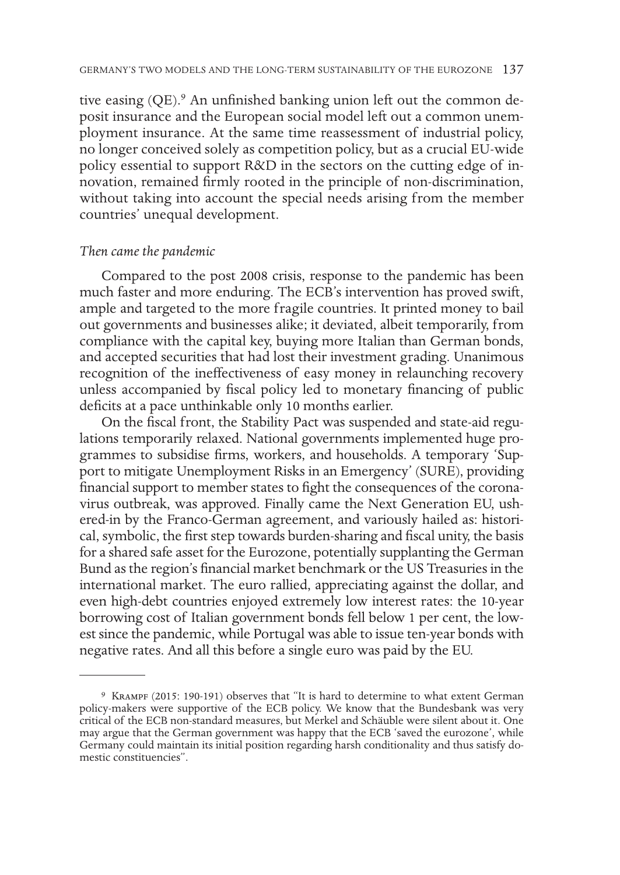tive easing (QE).<sup>9</sup> An unfinished banking union left out the common deposit insurance and the European social model left out a common unemployment insurance. At the same time reassessment of industrial policy, no longer conceived solely as competition policy, but as a crucial EU-wide policy essential to support R&D in the sectors on the cutting edge of innovation, remained firmly rooted in the principle of non-discrimination, without taking into account the special needs arising from the member countries' unequal development.

# *Then came the pandemic*

Compared to the post 2008 crisis, response to the pandemic has been much faster and more enduring. The ECB's intervention has proved swift, ample and targeted to the more fragile countries. It printed money to bail out governments and businesses alike; it deviated, albeit temporarily, from compliance with the capital key, buying more Italian than German bonds, and accepted securities that had lost their investment grading. Unanimous recognition of the ineffectiveness of easy money in relaunching recovery unless accompanied by fiscal policy led to monetary financing of public deficits at a pace unthinkable only 10 months earlier.

On the fiscal front, the Stability Pact was suspended and state-aid regulations temporarily relaxed. National governments implemented huge programmes to subsidise firms, workers, and households. A temporary 'Support to mitigate Unemployment Risks in an Emergency' (SURE), providing financial support to member states to fight the consequences of the coronavirus outbreak, was approved. Finally came the Next Generation EU, ushered-in by the Franco-German agreement, and variously hailed as: historical, symbolic, the first step towards burden-sharing and fiscal unity, the basis for a shared safe asset for the Eurozone, potentially supplanting the German Bund as the region's financial market benchmark or the US Treasuries in the international market. The euro rallied, appreciating against the dollar, and even high-debt countries enjoyed extremely low interest rates: the 10-year borrowing cost of Italian government bonds fell below 1 per cent, the lowest since the pandemic, while Portugal was able to issue ten-year bonds with negative rates. And all this before a single euro was paid by the EU.

<sup>9</sup> Krampf (2015: 190-191) observes that "It is hard to determine to what extent German policy-makers were supportive of the ECB policy. We know that the Bundesbank was very critical of the ECB non-standard measures, but Merkel and Schäuble were silent about it. One may argue that the German government was happy that the ECB 'saved the eurozone', while Germany could maintain its initial position regarding harsh conditionality and thus satisfy domestic constituencies".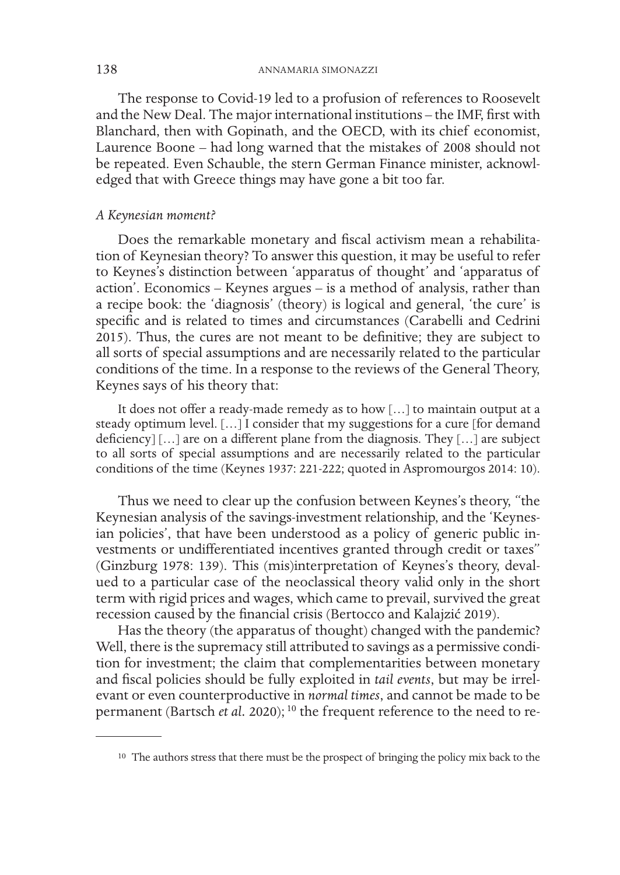The response to Covid-19 led to a profusion of references to Roosevelt and the New Deal. The major international institutions – the IMF, first with Blanchard, then with Gopinath, and the OECD, with its chief economist, Laurence Boone – had long warned that the mistakes of 2008 should not be repeated. Even Schauble, the stern German Finance minister, acknowledged that with Greece things may have gone a bit too far.

#### *A Keynesian moment?*

Does the remarkable monetary and fiscal activism mean a rehabilitation of Keynesian theory? To answer this question, it may be useful to refer to Keynes's distinction between 'apparatus of thought' and 'apparatus of action'. Economics – Keynes argues – is a method of analysis, rather than a recipe book: the 'diagnosis' (theory) is logical and general, 'the cure' is specific and is related to times and circumstances (Carabelli and Cedrini 2015). Thus, the cures are not meant to be definitive; they are subject to all sorts of special assumptions and are necessarily related to the particular conditions of the time. In a response to the reviews of the General Theory, Keynes says of his theory that:

It does not offer a ready-made remedy as to how […] to maintain output at a steady optimum level. […] I consider that my suggestions for a cure [for demand deficiency] […] are on a different plane from the diagnosis. They […] are subject to all sorts of special assumptions and are necessarily related to the particular conditions of the time (Keynes 1937: 221-222; quoted in Aspromourgos 2014: 10).

Thus we need to clear up the confusion between Keynes's theory, "the Keynesian analysis of the savings-investment relationship, and the 'Keynesian policies', that have been understood as a policy of generic public investments or undifferentiated incentives granted through credit or taxes" (Ginzburg 1978: 139). This (mis)interpretation of Keynes's theory, devalued to a particular case of the neoclassical theory valid only in the short term with rigid prices and wages, which came to prevail, survived the great recession caused by the financial crisis (Bertocco and Kalajzić 2019).

Has the theory (the apparatus of thought) changed with the pandemic? Well, there is the supremacy still attributed to savings as a permissive condition for investment; the claim that complementarities between monetary and fiscal policies should be fully exploited in *tail events*, but may be irrelevant or even counterproductive in *normal times*, and cannot be made to be permanent (Bartsch *et al.* 2020);<sup>10</sup> the frequent reference to the need to re-

<sup>&</sup>lt;sup>10</sup> The authors stress that there must be the prospect of bringing the policy mix back to the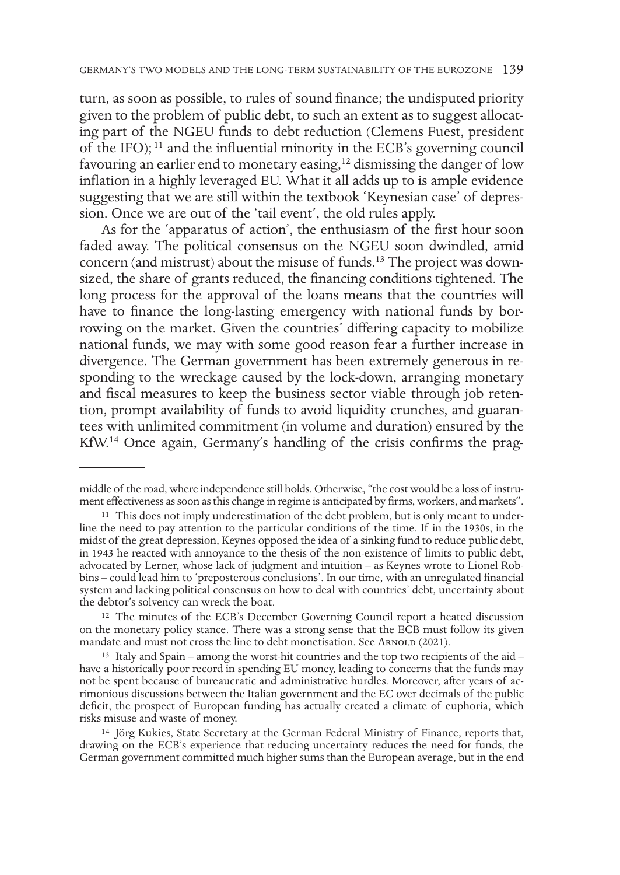turn, as soon as possible, to rules of sound finance; the undisputed priority given to the problem of public debt, to such an extent as to suggest allocating part of the NGEU funds to debt reduction (Clemens Fuest, president of the IFO); 11 and the influential minority in the ECB's governing council favouring an earlier end to monetary easing,12 dismissing the danger of low inflation in a highly leveraged EU. What it all adds up to is ample evidence suggesting that we are still within the textbook 'Keynesian case' of depression. Once we are out of the 'tail event', the old rules apply.

As for the 'apparatus of action', the enthusiasm of the first hour soon faded away. The political consensus on the NGEU soon dwindled, amid concern (and mistrust) about the misuse of funds.13 The project was downsized, the share of grants reduced, the financing conditions tightened. The long process for the approval of the loans means that the countries will have to finance the long-lasting emergency with national funds by borrowing on the market. Given the countries' differing capacity to mobilize national funds, we may with some good reason fear a further increase in divergence. The German government has been extremely generous in responding to the wreckage caused by the lock-down, arranging monetary and fiscal measures to keep the business sector viable through job retention, prompt availability of funds to avoid liquidity crunches, and guarantees with unlimited commitment (in volume and duration) ensured by the KfW.14 Once again, Germany's handling of the crisis confirms the prag-

middle of the road, where independence still holds. Otherwise, "the cost would be a loss of instrument effectiveness as soon as this change in regime is anticipated by firms, workers, and markets".

<sup>&</sup>lt;sup>11</sup> This does not imply underestimation of the debt problem, but is only meant to underline the need to pay attention to the particular conditions of the time. If in the 1930s, in the midst of the great depression, Keynes opposed the idea of a sinking fund to reduce public debt, in 1943 he reacted with annoyance to the thesis of the non-existence of limits to public debt, advocated by Lerner, whose lack of judgment and intuition – as Keynes wrote to Lionel Robbins – could lead him to 'preposterous conclusions'. In our time, with an unregulated financial system and lacking political consensus on how to deal with countries' debt, uncertainty about the debtor's solvency can wreck the boat.

<sup>12</sup> The minutes of the ECB's December Governing Council report a heated discussion on the monetary policy stance. There was a strong sense that the ECB must follow its given mandate and must not cross the line to debt monetisation. See ARNOLD (2021).

<sup>&</sup>lt;sup>13</sup> Italy and Spain – among the worst-hit countries and the top two recipients of the aid – have a historically poor record in spending EU money, leading to concerns that the funds may not be spent because of bureaucratic and administrative hurdles. Moreover, after years of acrimonious discussions between the Italian government and the EC over decimals of the public deficit, the prospect of European funding has actually created a climate of euphoria, which risks misuse and waste of money.

<sup>14</sup> Jörg Kukies, State Secretary at the German Federal Ministry of Finance, reports that, drawing on the ECB's experience that reducing uncertainty reduces the need for funds, the German government committed much higher sums than the European average, but in the end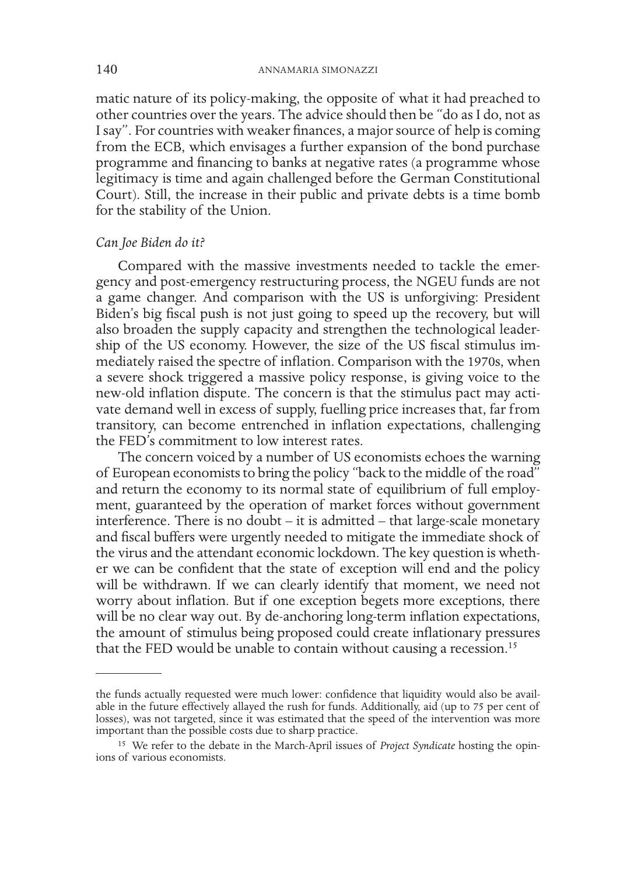matic nature of its policy-making, the opposite of what it had preached to other countries over the years. The advice should then be "do as I do, not as I say". For countries with weaker finances, a major source of help is coming from the ECB, which envisages a further expansion of the bond purchase programme and financing to banks at negative rates (a programme whose legitimacy is time and again challenged before the German Constitutional Court). Still, the increase in their public and private debts is a time bomb for the stability of the Union.

#### *Can Joe Biden do it?*

Compared with the massive investments needed to tackle the emergency and post-emergency restructuring process, the NGEU funds are not a game changer. And comparison with the US is unforgiving: President Biden's big fiscal push is not just going to speed up the recovery, but will also broaden the supply capacity and strengthen the technological leadership of the US economy. However, the size of the US fiscal stimulus immediately raised the spectre of inflation. Comparison with the 1970s, when a severe shock triggered a massive policy response, is giving voice to the new-old inflation dispute. The concern is that the stimulus pact may activate demand well in excess of supply, fuelling price increases that, far from transitory, can become entrenched in inflation expectations, challenging the FED's commitment to low interest rates.

The concern voiced by a number of US economists echoes the warning of European economists to bring the policy "back to the middle of the road" and return the economy to its normal state of equilibrium of full employment, guaranteed by the operation of market forces without government interference. There is no doubt – it is admitted – that large-scale monetary and fiscal buffers were urgently needed to mitigate the immediate shock of the virus and the attendant economic lockdown. The key question is whether we can be confident that the state of exception will end and the policy will be withdrawn. If we can clearly identify that moment, we need not worry about inflation. But if one exception begets more exceptions, there will be no clear way out. By de-anchoring long-term inflation expectations, the amount of stimulus being proposed could create inflationary pressures that the FED would be unable to contain without causing a recession.<sup>15</sup>

the funds actually requested were much lower: confidence that liquidity would also be available in the future effectively allayed the rush for funds. Additionally, aid (up to 75 per cent of losses), was not targeted, since it was estimated that the speed of the intervention was more important than the possible costs due to sharp practice.

<sup>15</sup> We refer to the debate in the March-April issues of *Project Syndicate* hosting the opin- ions of various economists.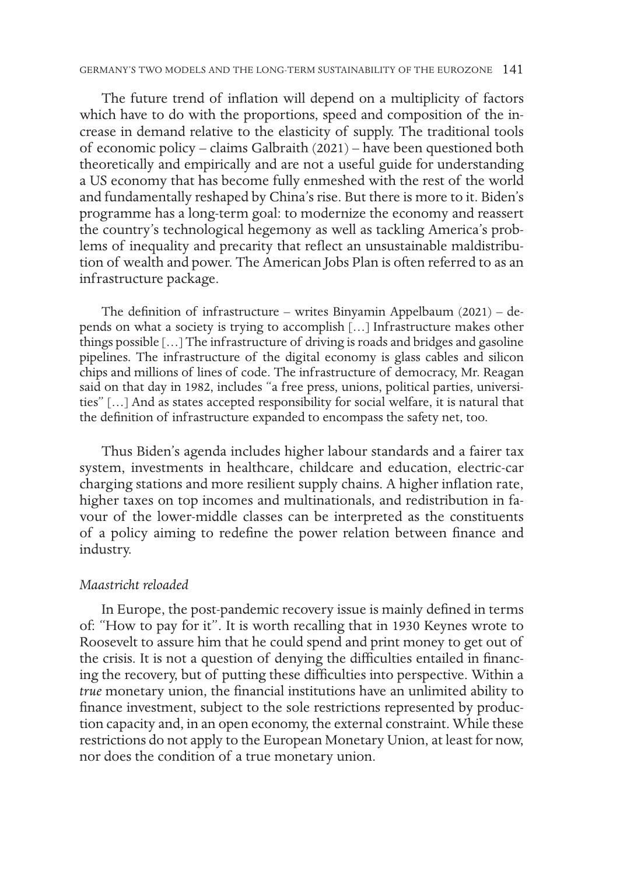The future trend of inflation will depend on a multiplicity of factors which have to do with the proportions, speed and composition of the increase in demand relative to the elasticity of supply. The traditional tools of economic policy – claims Galbraith (2021) – have been questioned both theoretically and empirically and are not a useful guide for understanding a US economy that has become fully enmeshed with the rest of the world and fundamentally reshaped by China's rise. But there is more to it. Biden's programme has a long-term goal: to modernize the economy and reassert the country's technological hegemony as well as tackling America's problems of inequality and precarity that reflect an unsustainable maldistribution of wealth and power. The American Jobs Plan is often referred to as an infrastructure package.

The definition of infrastructure – writes Binyamin Appelbaum (2021) – depends on what a society is trying to accomplish […] Infrastructure makes other things possible […] The infrastructure of driving is roads and bridges and gasoline pipelines. The infrastructure of the digital economy is glass cables and silicon chips and millions of lines of code. The infrastructure of democracy, Mr. Reagan said on that day in 1982, includes "a free press, unions, political parties, universities" […] And as states accepted responsibility for social welfare, it is natural that the definition of infrastructure expanded to encompass the safety net, too.

Thus Biden's agenda includes higher labour standards and a fairer tax system, investments in healthcare, childcare and education, electric-car charging stations and more resilient supply chains. A higher inflation rate, higher taxes on top incomes and multinationals, and redistribution in favour of the lower-middle classes can be interpreted as the constituents of a policy aiming to redefine the power relation between finance and industry.

#### *Maastricht reloaded*

In Europe, the post-pandemic recovery issue is mainly defined in terms of: "How to pay for it". It is worth recalling that in 1930 Keynes wrote to Roosevelt to assure him that he could spend and print money to get out of the crisis. It is not a question of denying the difficulties entailed in financing the recovery, but of putting these difficulties into perspective. Within a *true* monetary union, the financial institutions have an unlimited ability to finance investment, subject to the sole restrictions represented by production capacity and, in an open economy, the external constraint. While these restrictions do not apply to the European Monetary Union, at least for now, nor does the condition of a true monetary union.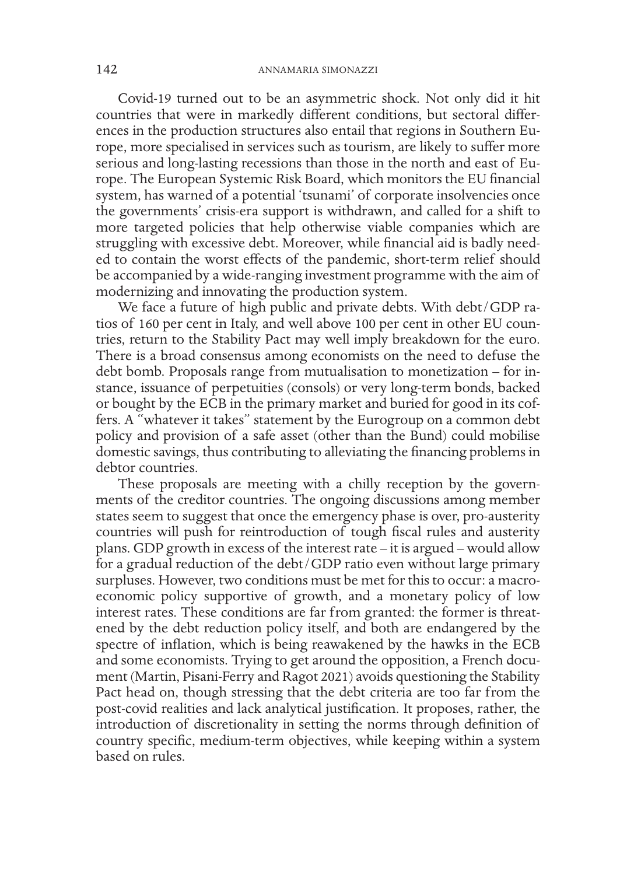Covid-19 turned out to be an asymmetric shock. Not only did it hit countries that were in markedly different conditions, but sectoral differences in the production structures also entail that regions in Southern Europe, more specialised in services such as tourism, are likely to suffer more serious and long-lasting recessions than those in the north and east of Europe. The European Systemic Risk Board, which monitors the EU financial system, has warned of a potential 'tsunami' of corporate insolvencies once the governments' crisis-era support is withdrawn, and called for a shift to more targeted policies that help otherwise viable companies which are struggling with excessive debt. Moreover, while financial aid is badly needed to contain the worst effects of the pandemic, short-term relief should be accompanied by a wide-ranging investment programme with the aim of modernizing and innovating the production system.

We face a future of high public and private debts. With debt/GDP ratios of 160 per cent in Italy, and well above 100 per cent in other EU countries, return to the Stability Pact may well imply breakdown for the euro. There is a broad consensus among economists on the need to defuse the debt bomb. Proposals range from mutualisation to monetization – for instance, issuance of perpetuities (consols) or very long-term bonds, backed or bought by the ECB in the primary market and buried for good in its coffers. A "whatever it takes" statement by the Eurogroup on a common debt policy and provision of a safe asset (other than the Bund) could mobilise domestic savings, thus contributing to alleviating the financing problems in debtor countries.

These proposals are meeting with a chilly reception by the governments of the creditor countries. The ongoing discussions among member states seem to suggest that once the emergency phase is over, pro-austerity countries will push for reintroduction of tough fiscal rules and austerity plans. GDP growth in excess of the interest rate – it is argued – would allow for a gradual reduction of the debt/GDP ratio even without large primary surpluses. However, two conditions must be met for this to occur: a macroeconomic policy supportive of growth, and a monetary policy of low interest rates. These conditions are far from granted: the former is threatened by the debt reduction policy itself, and both are endangered by the spectre of inflation, which is being reawakened by the hawks in the ECB and some economists. Trying to get around the opposition, a French document (Martin, Pisani-Ferry and Ragot 2021) avoids questioning the Stability Pact head on, though stressing that the debt criteria are too far from the post-covid realities and lack analytical justification. It proposes, rather, the introduction of discretionality in setting the norms through definition of country specific, medium-term objectives, while keeping within a system based on rules.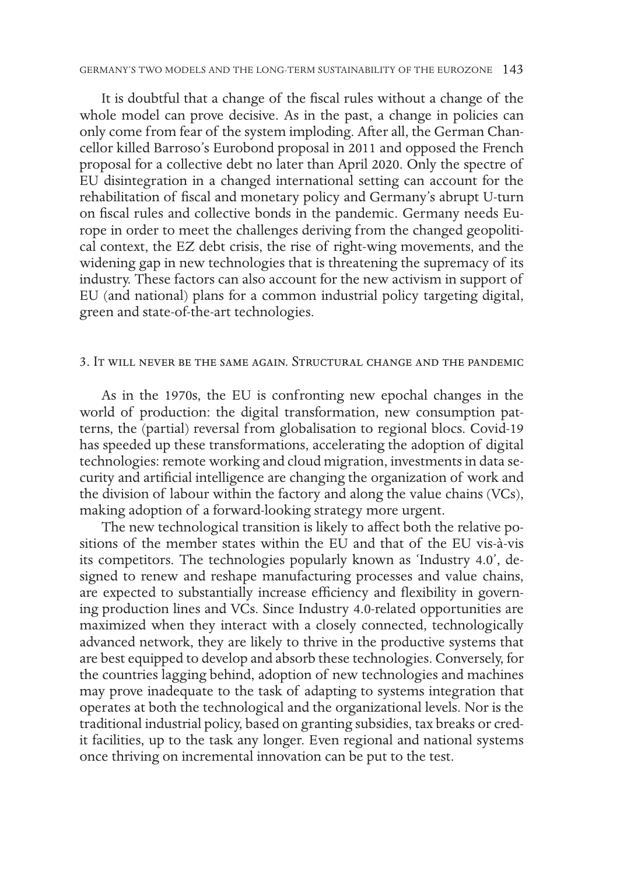It is doubtful that a change of the fiscal rules without a change of the whole model can prove decisive. As in the past, a change in policies can only come from fear of the system imploding. After all, the German Chancellor killed Barroso's Eurobond proposal in 2011 and opposed the French proposal for a collective debt no later than April 2020. Only the spectre of EU disintegration in a changed international setting can account for the rehabilitation of fiscal and monetary policy and Germany's abrupt U-turn on fiscal rules and collective bonds in the pandemic. Germany needs Europe in order to meet the challenges deriving from the changed geopolitical context, the EZ debt crisis, the rise of right-wing movements, and the widening gap in new technologies that is threatening the supremacy of its industry. These factors can also account for the new activism in support of EU (and national) plans for a common industrial policy targeting digital, green and state-of-the-art technologies.

### 3. It will never be the same again. Structural change and the pandemic

As in the 1970s, the EU is confronting new epochal changes in the world of production: the digital transformation, new consumption patterns, the (partial) reversal from globalisation to regional blocs. Covid-19 has speeded up these transformations, accelerating the adoption of digital technologies: remote working and cloud migration, investments in data security and artificial intelligence are changing the organization of work and the division of labour within the factory and along the value chains (VCs), making adoption of a forward-looking strategy more urgent.

The new technological transition is likely to affect both the relative positions of the member states within the EU and that of the EU vis-à-vis its competitors. The technologies popularly known as 'Industry 4.0', designed to renew and reshape manufacturing processes and value chains, are expected to substantially increase efficiency and flexibility in governing production lines and VCs. Since Industry 4.0-related opportunities are maximized when they interact with a closely connected, technologically advanced network, they are likely to thrive in the productive systems that are best equipped to develop and absorb these technologies. Conversely, for the countries lagging behind, adoption of new technologies and machines may prove inadequate to the task of adapting to systems integration that operates at both the technological and the organizational levels. Nor is the traditional industrial policy, based on granting subsidies, tax breaks or credit facilities, up to the task any longer. Even regional and national systems once thriving on incremental innovation can be put to the test.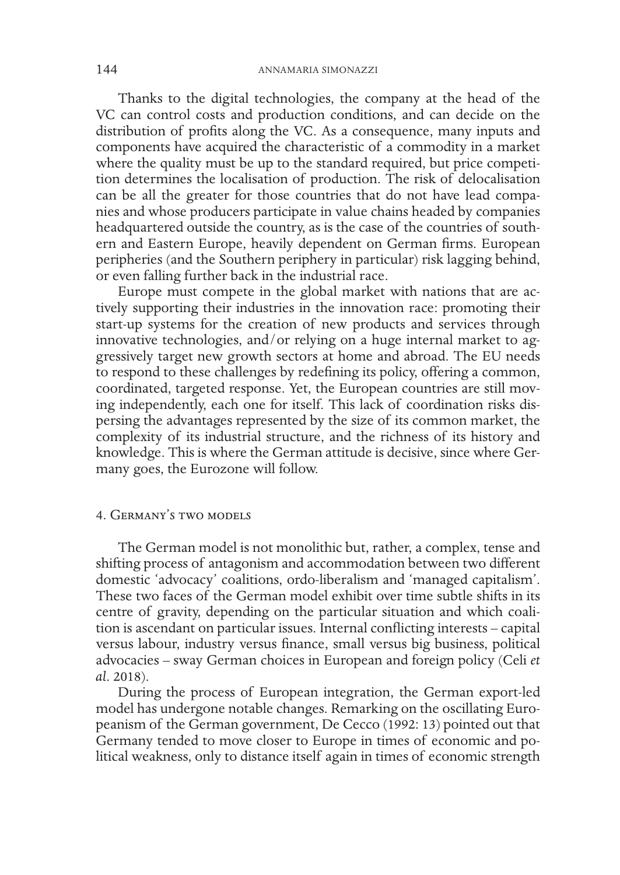Thanks to the digital technologies, the company at the head of the VC can control costs and production conditions, and can decide on the distribution of profits along the VC. As a consequence, many inputs and components have acquired the characteristic of a commodity in a market where the quality must be up to the standard required, but price competition determines the localisation of production. The risk of delocalisation can be all the greater for those countries that do not have lead companies and whose producers participate in value chains headed by companies headquartered outside the country, as is the case of the countries of southern and Eastern Europe, heavily dependent on German firms. European peripheries (and the Southern periphery in particular) risk lagging behind, or even falling further back in the industrial race.

Europe must compete in the global market with nations that are actively supporting their industries in the innovation race: promoting their start-up systems for the creation of new products and services through innovative technologies, and/or relying on a huge internal market to aggressively target new growth sectors at home and abroad. The EU needs to respond to these challenges by redefining its policy, offering a common, coordinated, targeted response. Yet, the European countries are still moving independently, each one for itself. This lack of coordination risks dispersing the advantages represented by the size of its common market, the complexity of its industrial structure, and the richness of its history and knowledge. This is where the German attitude is decisive, since where Germany goes, the Eurozone will follow.

# 4. Germany's two models

The German model is not monolithic but, rather, a complex, tense and shifting process of antagonism and accommodation between two different domestic 'advocacy' coalitions, ordo-liberalism and 'managed capitalism'. These two faces of the German model exhibit over time subtle shifts in its centre of gravity, depending on the particular situation and which coalition is ascendant on particular issues. Internal conflicting interests – capital versus labour, industry versus finance, small versus big business, political advocacies – sway German choices in European and foreign policy (Celi *et al*. 2018).

During the process of European integration, the German export-led model has undergone notable changes. Remarking on the oscillating Europeanism of the German government, De Cecco (1992: 13) pointed out that Germany tended to move closer to Europe in times of economic and political weakness, only to distance itself again in times of economic strength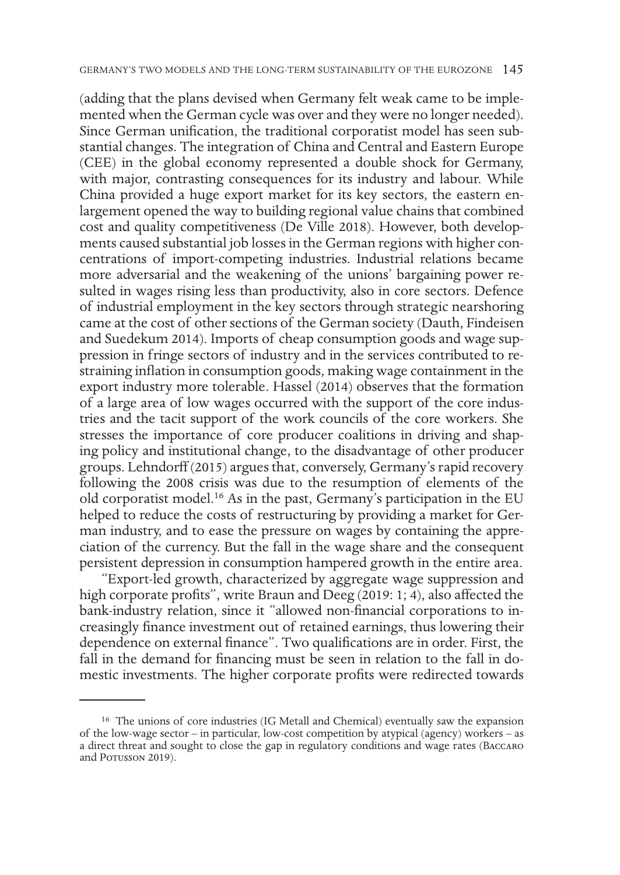(adding that the plans devised when Germany felt weak came to be implemented when the German cycle was over and they were no longer needed). Since German unification, the traditional corporatist model has seen substantial changes. The integration of China and Central and Eastern Europe (CEE) in the global economy represented a double shock for Germany, with major, contrasting consequences for its industry and labour. While China provided a huge export market for its key sectors, the eastern enlargement opened the way to building regional value chains that combined cost and quality competitiveness (De Ville 2018). However, both developments caused substantial job losses in the German regions with higher concentrations of import-competing industries. Industrial relations became more adversarial and the weakening of the unions' bargaining power resulted in wages rising less than productivity, also in core sectors. Defence of industrial employment in the key sectors through strategic nearshoring came at the cost of other sections of the German society (Dauth, Findeisen and Suedekum 2014). Imports of cheap consumption goods and wage suppression in fringe sectors of industry and in the services contributed to restraining inflation in consumption goods, making wage containment in the export industry more tolerable. Hassel (2014) observes that the formation of a large area of low wages occurred with the support of the core industries and the tacit support of the work councils of the core workers. She stresses the importance of core producer coalitions in driving and shaping policy and institutional change, to the disadvantage of other producer groups. Lehndorff (2015) argues that, conversely, Germany's rapid recovery following the 2008 crisis was due to the resumption of elements of the old corporatist model.16 As in the past, Germany's participation in the EU helped to reduce the costs of restructuring by providing a market for German industry, and to ease the pressure on wages by containing the appreciation of the currency. But the fall in the wage share and the consequent persistent depression in consumption hampered growth in the entire area.

"Export-led growth, characterized by aggregate wage suppression and high corporate profits", write Braun and Deeg (2019: 1; 4), also affected the bank-industry relation, since it "allowed non-financial corporations to increasingly finance investment out of retained earnings, thus lowering their dependence on external finance". Two qualifications are in order. First, the fall in the demand for financing must be seen in relation to the fall in domestic investments. The higher corporate profits were redirected towards

<sup>16</sup> The unions of core industries (IG Metall and Chemical) eventually saw the expansion of the low-wage sector – in particular, low-cost competition by atypical (agency) workers – as a direct threat and sought to close the gap in regulatory conditions and wage rates (Baccaro and Porusson 2019).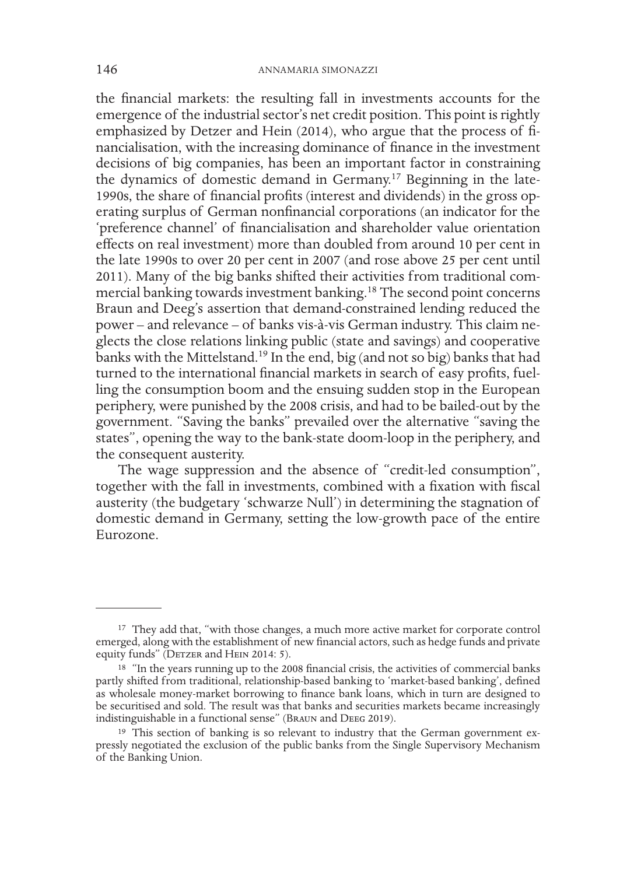the financial markets: the resulting fall in investments accounts for the emergence of the industrial sector's net credit position. This point is rightly emphasized by Detzer and Hein (2014), who argue that the process of financialisation, with the increasing dominance of finance in the investment decisions of big companies, has been an important factor in constraining the dynamics of domestic demand in Germany.17 Beginning in the late-1990s, the share of financial profits (interest and dividends) in the gross operating surplus of German nonfinancial corporations (an indicator for the 'preference channel' of financialisation and shareholder value orientation effects on real investment) more than doubled from around 10 per cent in the late 1990s to over 20 per cent in 2007 (and rose above 25 per cent until 2011). Many of the big banks shifted their activities from traditional commercial banking towards investment banking.18 The second point concerns Braun and Deeg's assertion that demand-constrained lending reduced the power – and relevance – of banks vis-à-vis German industry. This claim neglects the close relations linking public (state and savings) and cooperative banks with the Mittelstand.<sup>19</sup> In the end, big (and not so big) banks that had turned to the international financial markets in search of easy profits, fuelling the consumption boom and the ensuing sudden stop in the European periphery, were punished by the 2008 crisis, and had to be bailed-out by the government. "Saving the banks" prevailed over the alternative "saving the states", opening the way to the bank-state doom-loop in the periphery, and the consequent austerity.

The wage suppression and the absence of "credit-led consumption", together with the fall in investments, combined with a fixation with fiscal austerity (the budgetary 'schwarze Null') in determining the stagnation of domestic demand in Germany, setting the low-growth pace of the entire Eurozone.

<sup>&</sup>lt;sup>17</sup> They add that, "with those changes, a much more active market for corporate control emerged, along with the establishment of new financial actors, such as hedge funds and private equity funds" (DETZER and HEIN 2014: 5).

<sup>&</sup>lt;sup>18</sup> "In the years running up to the 2008 financial crisis, the activities of commercial banks partly shifted from traditional, relationship-based banking to 'market-based banking', defined as wholesale money-market borrowing to finance bank loans, which in turn are designed to be securitised and sold. The result was that banks and securities markets became increasingly indistinguishable in a functional sense" (Braun and Deeg 2019).

<sup>19</sup> This section of banking is so relevant to industry that the German government expressly negotiated the exclusion of the public banks from the Single Supervisory Mechanism of the Banking Union.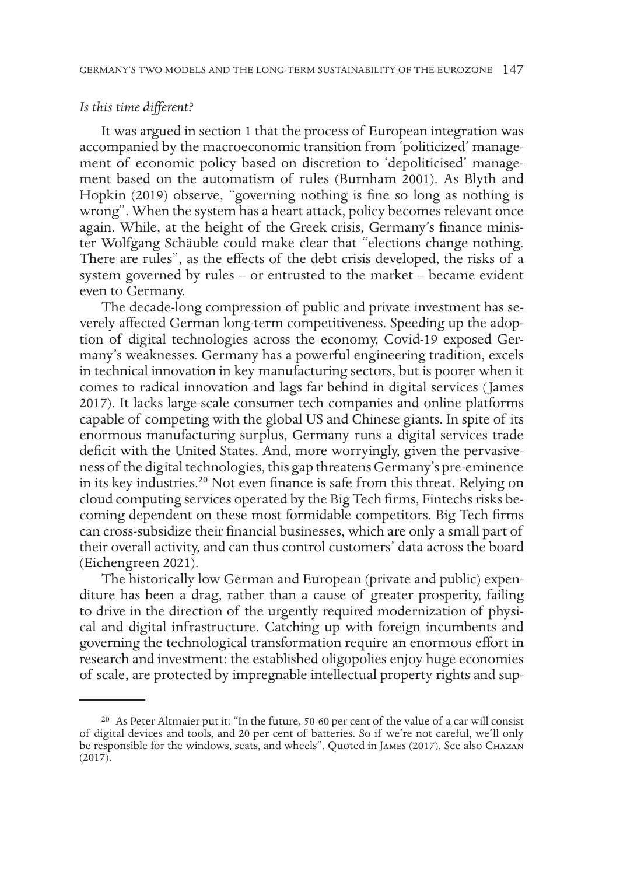# *Is this time different?*

It was argued in section 1 that the process of European integration was accompanied by the macroeconomic transition from 'politicized' management of economic policy based on discretion to 'depoliticised' management based on the automatism of rules (Burnham 2001). As Blyth and Hopkin (2019) observe, "governing nothing is fine so long as nothing is wrong". When the system has a heart attack, policy becomes relevant once again. While, at the height of the Greek crisis, Germany's finance minister Wolfgang Schäuble could make clear that "elections change nothing. There are rules", as the effects of the debt crisis developed, the risks of a system governed by rules – or entrusted to the market – became evident even to Germany.

The decade-long compression of public and private investment has severely affected German long-term competitiveness. Speeding up the adoption of digital technologies across the economy, Covid-19 exposed Germany's weaknesses. Germany has a powerful engineering tradition, excels in technical innovation in key manufacturing sectors, but is poorer when it comes to radical innovation and lags far behind in digital services (James 2017). It lacks large-scale consumer tech companies and online platforms capable of competing with the global US and Chinese giants. In spite of its enormous manufacturing surplus, Germany runs a digital services trade deficit with the United States. And, more worryingly, given the pervasiveness of the digital technologies, this gap threatens Germany's pre-eminence in its key industries.20 Not even finance is safe from this threat. Relying on cloud computing services operated by the Big Tech firms, Fintechs risks becoming dependent on these most formidable competitors. Big Tech firms can cross-subsidize their financial businesses, which are only a small part of their overall activity, and can thus control customers' data across the board (Eichengreen 2021).

The historically low German and European (private and public) expenditure has been a drag, rather than a cause of greater prosperity, failing to drive in the direction of the urgently required modernization of physical and digital infrastructure. Catching up with foreign incumbents and governing the technological transformation require an enormous effort in research and investment: the established oligopolies enjoy huge economies of scale, are protected by impregnable intellectual property rights and sup-

<sup>20</sup> As Peter Altmaier put it: "In the future, 50-60 per cent of the value of a car will consist of digital devices and tools, and 20 per cent of batteries. So if we're not careful, we'll only be responsible for the windows, seats, and wheels". Quoted in James (2017). See also Chazan (2017).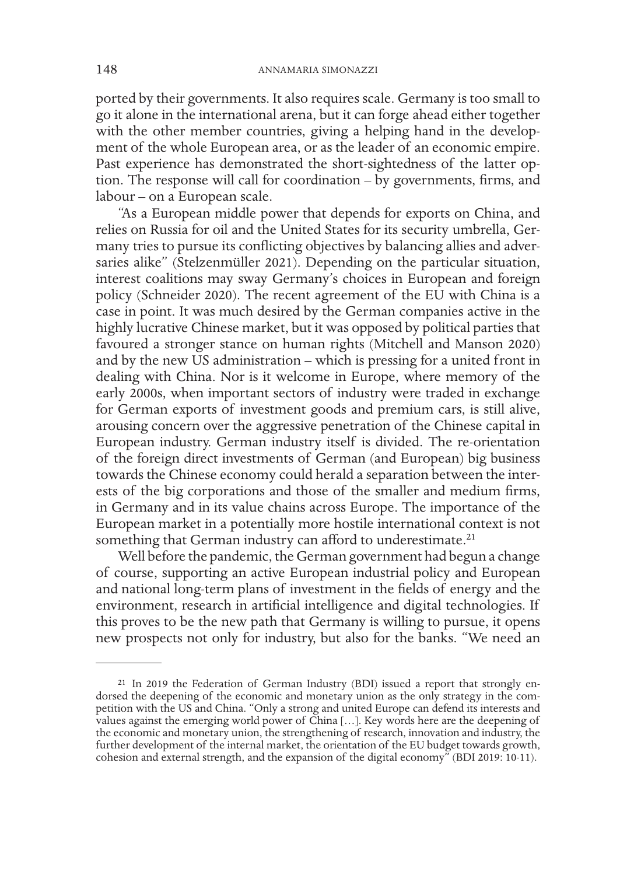ported by their governments. It also requires scale. Germany is too small to go it alone in the international arena, but it can forge ahead either together with the other member countries, giving a helping hand in the development of the whole European area, or as the leader of an economic empire. Past experience has demonstrated the short-sightedness of the latter option. The response will call for coordination – by governments, firms, and labour – on a European scale.

"As a European middle power that depends for exports on China, and relies on Russia for oil and the United States for its security umbrella, Germany tries to pursue its conflicting objectives by balancing allies and adversaries alike" (Stelzenmüller 2021). Depending on the particular situation, interest coalitions may sway Germany's choices in European and foreign policy (Schneider 2020). The recent agreement of the EU with China is a case in point. It was much desired by the German companies active in the highly lucrative Chinese market, but it was opposed by political parties that favoured a stronger stance on human rights (Mitchell and Manson 2020) and by the new US administration – which is pressing for a united front in dealing with China. Nor is it welcome in Europe, where memory of the early 2000s, when important sectors of industry were traded in exchange for German exports of investment goods and premium cars, is still alive, arousing concern over the aggressive penetration of the Chinese capital in European industry. German industry itself is divided. The re-orientation of the foreign direct investments of German (and European) big business towards the Chinese economy could herald a separation between the interests of the big corporations and those of the smaller and medium firms, in Germany and in its value chains across Europe. The importance of the European market in a potentially more hostile international context is not something that German industry can afford to underestimate.<sup>21</sup>

Well before the pandemic, the German government had begun a change of course, supporting an active European industrial policy and European and national long-term plans of investment in the fields of energy and the environment, research in artificial intelligence and digital technologies. If this proves to be the new path that Germany is willing to pursue, it opens new prospects not only for industry, but also for the banks. "We need an

<sup>21</sup> In 2019 the Federation of German Industry (BDI) issued a report that strongly endorsed the deepening of the economic and monetary union as the only strategy in the competition with the US and China. "Only a strong and united Europe can defend its interests and values against the emerging world power of China […]. Key words here are the deepening of the economic and monetary union, the strengthening of research, innovation and industry, the further development of the internal market, the orientation of the EU budget towards growth, cohesion and external strength, and the expansion of the digital economy" (BDI 2019: 10-11).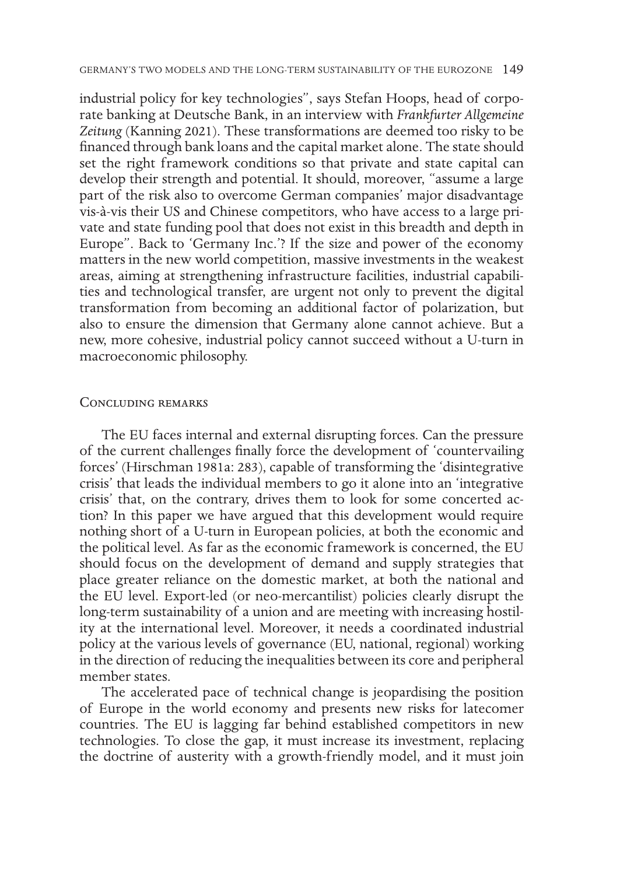industrial policy for key technologies", says Stefan Hoops, head of corporate banking at Deutsche Bank, in an interview with *Frankfurter Allgemeine Zeitung* (Kanning 2021). These transformations are deemed too risky to be financed through bank loans and the capital market alone. The state should set the right framework conditions so that private and state capital can develop their strength and potential. It should, moreover, "assume a large part of the risk also to overcome German companies' major disadvantage vis-à-vis their US and Chinese competitors, who have access to a large private and state funding pool that does not exist in this breadth and depth in Europe". Back to 'Germany Inc.'? If the size and power of the economy matters in the new world competition, massive investments in the weakest areas, aiming at strengthening infrastructure facilities, industrial capabilities and technological transfer, are urgent not only to prevent the digital transformation from becoming an additional factor of polarization, but also to ensure the dimension that Germany alone cannot achieve. But a new, more cohesive, industrial policy cannot succeed without a U-turn in macroeconomic philosophy.

#### Concluding remarks

The EU faces internal and external disrupting forces. Can the pressure of the current challenges finally force the development of 'countervailing forces' (Hirschman 1981a: 283), capable of transforming the 'disintegrative crisis' that leads the individual members to go it alone into an 'integrative crisis' that, on the contrary, drives them to look for some concerted action? In this paper we have argued that this development would require nothing short of a U-turn in European policies, at both the economic and the political level. As far as the economic framework is concerned, the EU should focus on the development of demand and supply strategies that place greater reliance on the domestic market, at both the national and the EU level. Export-led (or neo-mercantilist) policies clearly disrupt the long-term sustainability of a union and are meeting with increasing hostility at the international level. Moreover, it needs a coordinated industrial policy at the various levels of governance (EU, national, regional) working in the direction of reducing the inequalities between its core and peripheral member states.

The accelerated pace of technical change is jeopardising the position of Europe in the world economy and presents new risks for latecomer countries. The EU is lagging far behind established competitors in new technologies. To close the gap, it must increase its investment, replacing the doctrine of austerity with a growth-friendly model, and it must join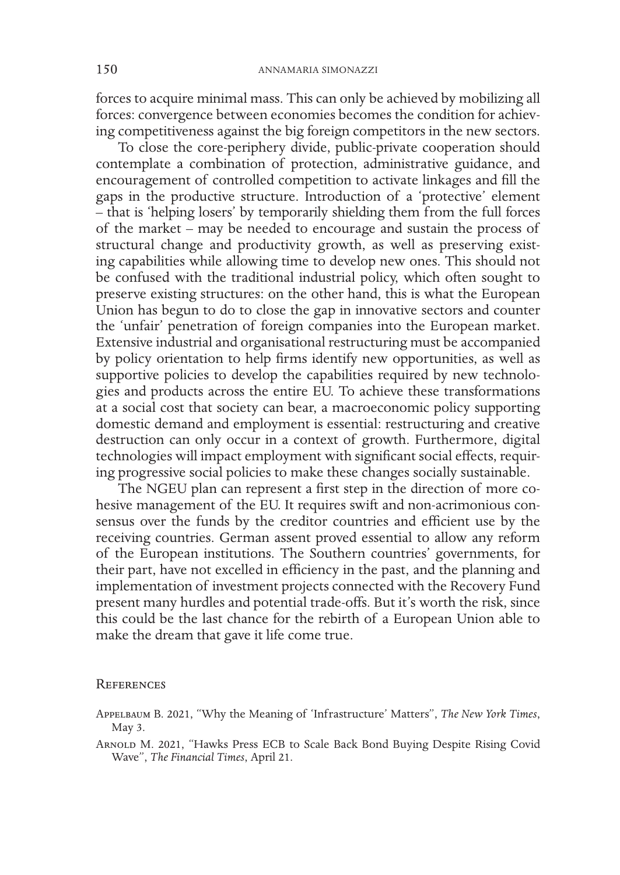forces to acquire minimal mass. This can only be achieved by mobilizing all forces: convergence between economies becomes the condition for achieving competitiveness against the big foreign competitors in the new sectors.

To close the core-periphery divide, public-private cooperation should contemplate a combination of protection, administrative guidance, and encouragement of controlled competition to activate linkages and fill the gaps in the productive structure. Introduction of a 'protective' element – that is 'helping losers' by temporarily shielding them from the full forces of the market – may be needed to encourage and sustain the process of structural change and productivity growth, as well as preserving existing capabilities while allowing time to develop new ones. This should not be confused with the traditional industrial policy, which often sought to preserve existing structures: on the other hand, this is what the European Union has begun to do to close the gap in innovative sectors and counter the 'unfair' penetration of foreign companies into the European market. Extensive industrial and organisational restructuring must be accompanied by policy orientation to help firms identify new opportunities, as well as supportive policies to develop the capabilities required by new technologies and products across the entire EU. To achieve these transformations at a social cost that society can bear, a macroeconomic policy supporting domestic demand and employment is essential: restructuring and creative destruction can only occur in a context of growth. Furthermore, digital technologies will impact employment with significant social effects, requiring progressive social policies to make these changes socially sustainable.

The NGEU plan can represent a first step in the direction of more cohesive management of the EU. It requires swift and non-acrimonious consensus over the funds by the creditor countries and efficient use by the receiving countries. German assent proved essential to allow any reform of the European institutions. The Southern countries' governments, for their part, have not excelled in efficiency in the past, and the planning and implementation of investment projects connected with the Recovery Fund present many hurdles and potential trade-offs. But it's worth the risk, since this could be the last chance for the rebirth of a European Union able to make the dream that gave it life come true.

#### **REFERENCES**

Appelbaum B. 2021, "Why the Meaning of 'Infrastructure' Matters", *The New York Times*, May 3.

Arnold M. 2021, "Hawks Press ECB to Scale Back Bond Buying Despite Rising Covid Wave", *The Financial Times*, April 21.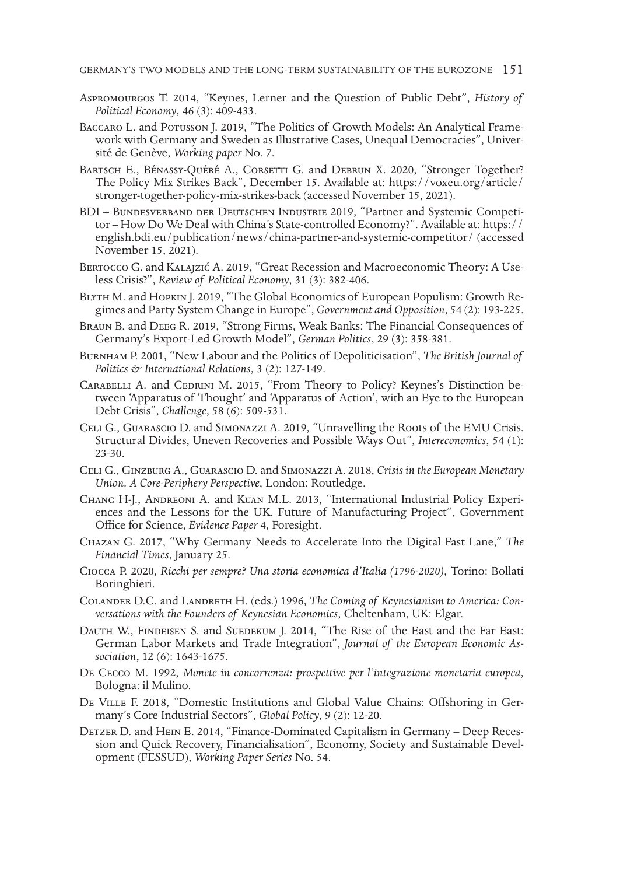- Aspromourgos T. 2014, "Keynes, Lerner and the Question of Public Debt", *History of Political Economy*, 46 (3): 409-433.
- Baccaro L. and Potusson J. 2019, "The Politics of Growth Models: An Analytical Frame- work with Germany and Sweden as Illustrative Cases, Unequal Democracies", Univer- sité de Genève, *Working paper* No. 7.
- BARTSCH E., BÉNASSY-QUÉRÉ A., CORSETTI G. and DEBRUN X. 2020, "Stronger Together? The Policy Mix Strikes Back", December 15. Available at: https://voxeu.org/article/ stronger-together-policy-mix-strikes-back (accessed November 15, 2021).
- BDI Bundesverband der Deutschen Industrie 2019, "Partner and Systemic Competi- tor How Do We Deal with China's State-controlled Economy?". Available at: https:// english.bdi.eu/publication/news/china-partner-and-systemic-competitor/ (accessed November 15, 2021).
- Bertocco G. and Kalajzić A. 2019, "Great Recession and Macroeconomic Theory: A Use- less Crisis?", *Review of Political Economy*, 31 (3): 382-406.
- Blyth M. and Hopkin J. 2019, "The Global Economics of European Populism: Growth Re- gimes and Party System Change in Europe", *Government and Opposition*, 54 (2): 193-225.
- Braun B. and Deeg R. 2019, "Strong Firms, Weak Banks: The Financial Consequences of Germany's Export-Led Growth Model", *German Politics*, 29 (3): 358-381.
- Burnham P. 2001, "New Labour and the Politics of Depoliticisation", *The British Journal of Politics & International Relations*, 3 (2): 127-149.
- Carabelli A. and Cedrini M. 2015, "From Theory to Policy? Keynes's Distinction be- tween 'Apparatus of Thought' and 'Apparatus of Action', with an Eye to the European Debt Crisis", *Challenge*, 58 (6): 509-531.
- Celi G., Guarascio D. and Simonazzi A. 2019, "Unravelling the Roots of the EMU Crisis. Structural Divides, Uneven Recoveries and Possible Ways Out", *Intereconomics*, 54 (1): 23-30.
- Celi G., Ginzburg A., Guarascio D. and Simonazzi A. 2018, *Crisis in the European Monetary Union. A Core-Periphery Perspective*, London: Routledge.
- Chang H-J., Andreoni A. and Kuan M.L. 2013, "International Industrial Policy Experi- ences and the Lessons for the UK. Future of Manufacturing Project", Government Office for Science, *Evidence Paper* 4, Foresight.
- Chazan G. 2017, "Why Germany Needs to Accelerate Into the Digital Fast Lane," *The Financial Times*, January 25.
- Ciocca P. 2020, *Ricchi per sempre? Una storia economica d'Italia (1796-2020)*, Torino: Bollati Boringhieri.
- Colander D.C. and Landreth H. (eds.) 1996, *The Coming of Keynesianism to America: Con- versations with the Founders of Keynesian Economics*, Cheltenham, UK: Elgar.
- DAUTH W., FINDEISEN S. and SUEDEKUM J. 2014, "The Rise of the East and the Far East: German Labor Markets and Trade Integration", *Journal of the European Economic As- sociation*, 12 (6): 1643-1675.
- De Cecco M. 1992, *Monete in concorrenza: prospettive per l'integrazione monetaria europea*, Bologna: il Mulino.
- De Ville F. 2018, "Domestic Institutions and Global Value Chains: Offshoring in Ger- many's Core Industrial Sectors", *Global Policy*, 9 (2): 12-20.
- Detzer D. and Hein E. 2014, "Finance-Dominated Capitalism in Germany Deep Reces- sion and Quick Recovery, Financialisation", Economy, Society and Sustainable Devel- opment (FESSUD), *Working Paper Series* No. 54.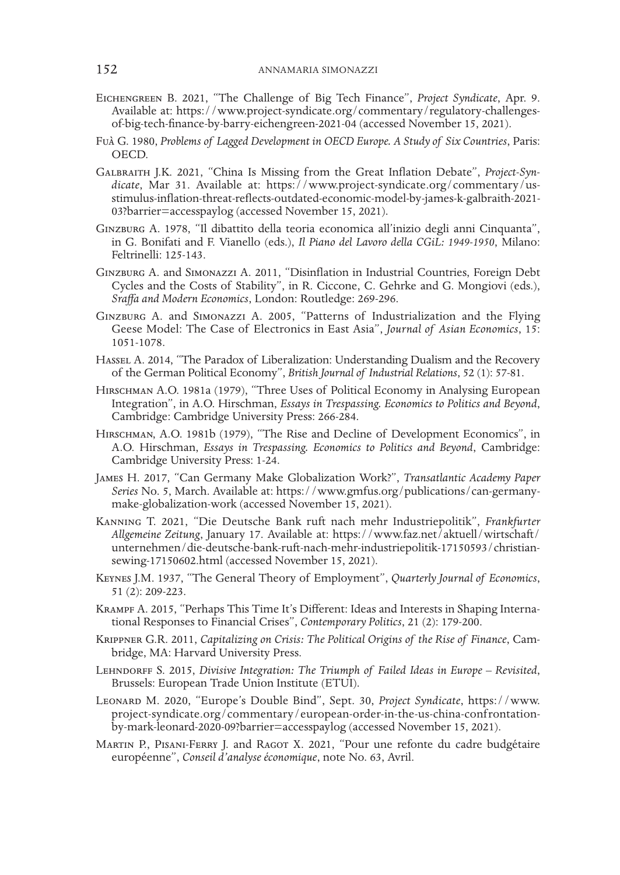- Eichengreen B. 2021, "The Challenge of Big Tech Finance", *Project Syndicate*, Apr. 9. Available at: https://www.project-syndicate.org/commentary/regulatory-challengesof-big-tech-finance-by-barry-eichengreen-2021-04 (accessed November 15, 2021).
- Fuà G. 1980, *Problems of Lagged Development in OECD Europe. A Study of Six Countries*, Paris: OECD.
- Galbraith J.K. 2021, "China Is Missing from the Great Inflation Debate", *Project-Syndicate*, Mar 31. Available at: https://www.project-syndicate.org/commentary/usstimulus-inflation-threat-reflects-outdated-economic-model-by-james-k-galbraith-2021- 03?barrier=accesspaylog (accessed November 15, 2021).
- Ginzburg A. 1978, "Il dibattito della teoria economica all'inizio degli anni Cinquanta", in G. Bonifati and F. Vianello (eds.), *Il Piano del Lavoro della CGiL: 1949-1950*, Milano: Feltrinelli: 125-143.
- Ginzburg A. and Simonazzi A. 2011, "Disinflation in Industrial Countries, Foreign Debt Cycles and the Costs of Stability", in R. Ciccone, C. Gehrke and G. Mongiovi (eds.), *Sraffa and Modern Economics*, London: Routledge: 269-296.
- Ginzburg A. and Simonazzi A. 2005, "Patterns of Industrialization and the Flying Geese Model: The Case of Electronics in East Asia", *Journal of Asian Economics*, 15: 1051-1078.
- HASSEL A. 2014, "The Paradox of Liberalization: Understanding Dualism and the Recovery of the German Political Economy", *British Journal of Industrial Relations*, 52 (1): 57-81.
- Hirschman A.O. 1981a (1979), "Three Uses of Political Economy in Analysing European Integration", in A.O. Hirschman, *Essays in Trespassing. Economics to Politics and Beyond*, Cambridge: Cambridge University Press: 266-284.
- Hirschman, A.O. 1981b (1979), "The Rise and Decline of Development Economics", in A.O. Hirschman, *Essays in Trespassing. Economics to Politics and Beyond*, Cambridge: Cambridge University Press: 1-24.
- James H. 2017, "Can Germany Make Globalization Work?", *Transatlantic Academy Paper Series* No. 5, March. Available at: https://www.gmfus.org/publications/can-germanymake-globalization-work (accessed November 15, 2021).
- Kanning T. 2021, "Die Deutsche Bank ruft nach mehr Industriepolitik", *Frankfurter Allgemeine Zeitung*, January 17. Available at: https://www.faz.net/aktuell/wirtschaft/ unternehmen/die-deutsche-bank-ruft-nach-mehr-industriepolitik-17150593/christiansewing-17150602.html (accessed November 15, 2021).
- Keynes J.M. 1937, "The General Theory of Employment", *Quarterly Journal of Economics*, 51 (2): 209-223.
- Krampf A. 2015, "Perhaps This Time It's Different: Ideas and Interests in Shaping International Responses to Financial Crises", *Contemporary Politics*, 21 (2): 179-200.
- Krippner G.R. 2011, *Capitalizing on Crisis: The Political Origins of the Rise of Finance*, Cambridge, MA: Harvard University Press.
- Lehndorff S. 2015, *Divisive Integration: The Triumph of Failed Ideas in Europe Revisited*, Brussels: European Trade Union Institute (ETUI).
- Leonard M. 2020, "Europe's Double Bind", Sept. 30, *Project Syndicate*, https://www. project-syndicate.org/commentary/european-order-in-the-us-china-confrontationby-mark-leonard-2020-09?barrier=accesspaylog (accessed November 15, 2021).
- Martin P., Pisani-Ferry J. and Ragot X. 2021, "Pour une refonte du cadre budgétaire européenne", *Conseil d'analyse économique*, note No. 63, Avril.